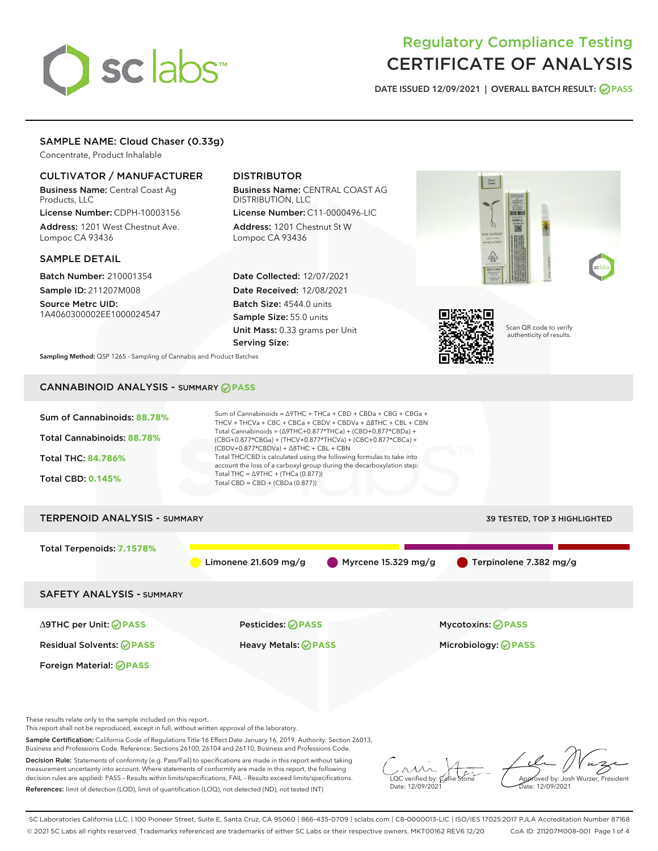# sclabs<sup>\*</sup>

# Regulatory Compliance Testing CERTIFICATE OF ANALYSIS

DATE ISSUED 12/09/2021 | OVERALL BATCH RESULT: @ PASS

# SAMPLE NAME: Cloud Chaser (0.33g)

Concentrate, Product Inhalable

# CULTIVATOR / MANUFACTURER

Business Name: Central Coast Ag Products, LLC

License Number: CDPH-10003156 Address: 1201 West Chestnut Ave. Lompoc CA 93436

# SAMPLE DETAIL

Batch Number: 210001354 Sample ID: 211207M008 Source Metrc UID:

1A4060300002EE1000024547

# DISTRIBUTOR

Business Name: CENTRAL COAST AG DISTRIBUTION, LLC License Number: C11-0000496-LIC

Address: 1201 Chestnut St W Lompoc CA 93436

Date Collected: 12/07/2021 Date Received: 12/08/2021 Batch Size: 4544.0 units Sample Size: 55.0 units Unit Mass: 0.33 grams per Unit Serving Size:





Scan QR code to verify authenticity of results.

Sampling Method: QSP 1265 - Sampling of Cannabis and Product Batches

# CANNABINOID ANALYSIS - SUMMARY **PASS**

| Sum of Cannabinoids: 88.78%<br>Total Cannabinoids: 88.78%<br><b>Total THC: 84.786%</b><br><b>Total CBD: 0.145%</b> | Sum of Cannabinoids = $\triangle$ 9THC + THCa + CBD + CBDa + CBG + CBGa +<br>THCV + THCVa + CBC + CBCa + CBDV + CBDVa + $\triangle$ 8THC + CBL + CBN<br>Total Cannabinoids = $(\Delta$ 9THC+0.877*THCa) + (CBD+0.877*CBDa) +<br>(CBG+0.877*CBGa) + (THCV+0.877*THCVa) + (CBC+0.877*CBCa) +<br>$(CBDV+0.877*CBDVa) + \Delta 8THC + CBL + CBN$<br>Total THC/CBD is calculated using the following formulas to take into<br>account the loss of a carboxyl group during the decarboxylation step:<br>Total THC = $\triangle$ 9THC + (THCa (0.877))<br>Total CBD = $CBD + (CBDa (0.877))$ |                                                 |  |  |  |  |  |
|--------------------------------------------------------------------------------------------------------------------|---------------------------------------------------------------------------------------------------------------------------------------------------------------------------------------------------------------------------------------------------------------------------------------------------------------------------------------------------------------------------------------------------------------------------------------------------------------------------------------------------------------------------------------------------------------------------------------|-------------------------------------------------|--|--|--|--|--|
| <b>TERPENOID ANALYSIS - SUMMARY</b>                                                                                |                                                                                                                                                                                                                                                                                                                                                                                                                                                                                                                                                                                       | 39 TESTED, TOP 3 HIGHLIGHTED                    |  |  |  |  |  |
| Total Terpenoids: 7.1578%                                                                                          | Limonene $21.609$ mg/g                                                                                                                                                                                                                                                                                                                                                                                                                                                                                                                                                                | Myrcene $15.329$ mg/g<br>Terpinolene 7.382 mg/g |  |  |  |  |  |
| <b>SAFETY ANALYSIS - SUMMARY</b>                                                                                   |                                                                                                                                                                                                                                                                                                                                                                                                                                                                                                                                                                                       |                                                 |  |  |  |  |  |
| ∆9THC per Unit: ⊘PASS                                                                                              | Pesticides: ⊘PASS                                                                                                                                                                                                                                                                                                                                                                                                                                                                                                                                                                     | <b>Mycotoxins: ⊘PASS</b>                        |  |  |  |  |  |
| <b>Residual Solvents: ⊘PASS</b>                                                                                    | Heavy Metals: <b>OPASS</b>                                                                                                                                                                                                                                                                                                                                                                                                                                                                                                                                                            | Microbiology: <b>OPASS</b>                      |  |  |  |  |  |
| Foreign Material: <b>⊘ PASS</b>                                                                                    |                                                                                                                                                                                                                                                                                                                                                                                                                                                                                                                                                                                       |                                                 |  |  |  |  |  |

These results relate only to the sample included on this report.

This report shall not be reproduced, except in full, without written approval of the laboratory.

Sample Certification: California Code of Regulations Title 16 Effect Date January 16, 2019. Authority: Section 26013, Business and Professions Code. Reference: Sections 26100, 26104 and 26110, Business and Professions Code.

Decision Rule: Statements of conformity (e.g. Pass/Fail) to specifications are made in this report without taking measurement uncertainty into account. Where statements of conformity are made in this report, the following decision rules are applied: PASS – Results within limits/specifications, FAIL – Results exceed limits/specifications. References: limit of detection (LOD), limit of quantification (LOQ), not detected (ND), not tested (NT)

 $\sim$  CC verified by:  $\mathcal{C}$ allie Date: 12/09/2021

Approved by: Josh Wurzer, President Date: 12/09/2021

SC Laboratories California LLC. | 100 Pioneer Street, Suite E, Santa Cruz, CA 95060 | 866-435-0709 | sclabs.com | C8-0000013-LIC | ISO/IES 17025:2017 PJLA Accreditation Number 87168 © 2021 SC Labs all rights reserved. Trademarks referenced are trademarks of either SC Labs or their respective owners. MKT00162 REV6 12/20 CoA ID: 211207M008-001 Page 1 of 4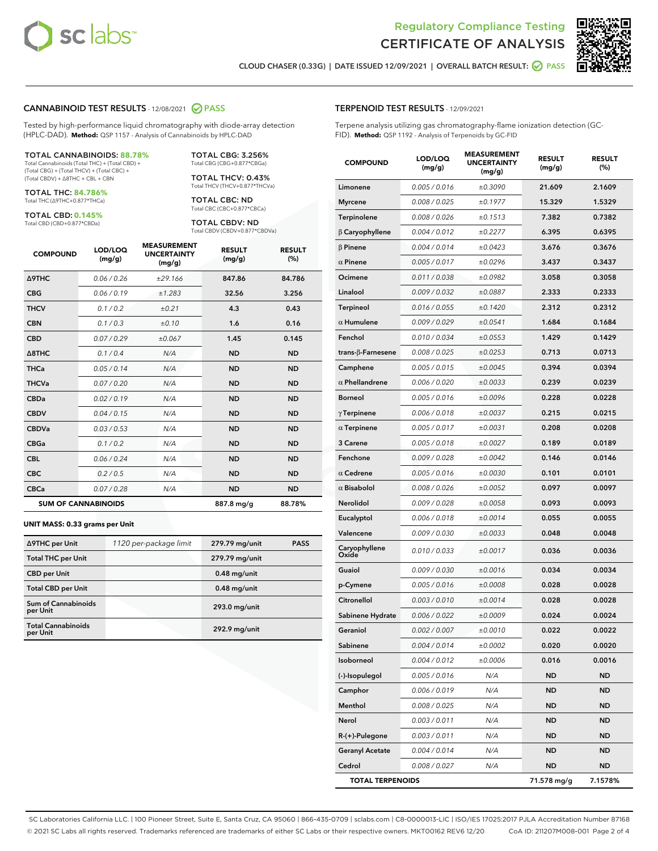



CLOUD CHASER (0.33G) | DATE ISSUED 12/09/2021 | OVERALL BATCH RESULT: **○** PASS

#### CANNABINOID TEST RESULTS - 12/08/2021 2 PASS

Tested by high-performance liquid chromatography with diode-array detection (HPLC-DAD). **Method:** QSP 1157 - Analysis of Cannabinoids by HPLC-DAD

#### TOTAL CANNABINOIDS: **88.78%**

Total Cannabinoids (Total THC) + (Total CBD) + (Total CBG) + (Total THCV) + (Total CBC) + (Total CBDV) + ∆8THC + CBL + CBN

TOTAL THC: **84.786%** Total THC (∆9THC+0.877\*THCa)

TOTAL CBD: **0.145%**

Total THCV (THCV+0.877\*THCVa)

Total CBD (CBD+0.877\*CBDa)

TOTAL CBG: 3.256% Total CBG (CBG+0.877\*CBGa) TOTAL THCV: 0.43%

TOTAL CBC: ND Total CBC (CBC+0.877\*CBCa)

TOTAL CBDV: ND Total CBDV (CBDV+0.877\*CBDVa)

| <b>COMPOUND</b>            | LOD/LOQ<br>(mg/g) | <b>MEASUREMENT</b><br><b>UNCERTAINTY</b><br>(mg/g) | <b>RESULT</b><br>(mg/g) | <b>RESULT</b><br>(%) |
|----------------------------|-------------------|----------------------------------------------------|-------------------------|----------------------|
| <b>A9THC</b>               | 0.06 / 0.26       | ±29.166                                            | 847.86                  | 84.786               |
| <b>CBG</b>                 | 0.06 / 0.19       | ±1.283                                             | 32.56                   | 3.256                |
| <b>THCV</b>                | 0.1 / 0.2         | ±0.21                                              | 4.3                     | 0.43                 |
| <b>CBN</b>                 | 0.1/0.3           | ±0.10                                              | 1.6                     | 0.16                 |
| <b>CBD</b>                 | 0.07/0.29         | ±0.067                                             | 1.45                    | 0.145                |
| $\triangle$ 8THC           | 0.1/0.4           | N/A                                                | <b>ND</b>               | <b>ND</b>            |
| <b>THCa</b>                | 0.05/0.14         | N/A                                                | <b>ND</b>               | <b>ND</b>            |
| <b>THCVa</b>               | 0.07/0.20         | N/A                                                | <b>ND</b>               | <b>ND</b>            |
| <b>CBDa</b>                | 0.02/0.19         | N/A                                                | <b>ND</b>               | <b>ND</b>            |
| <b>CBDV</b>                | 0.04 / 0.15       | N/A                                                | <b>ND</b>               | <b>ND</b>            |
| <b>CBDVa</b>               | 0.03/0.53         | N/A                                                | <b>ND</b>               | <b>ND</b>            |
| <b>CBGa</b>                | 0.1/0.2           | N/A                                                | <b>ND</b>               | <b>ND</b>            |
| <b>CBL</b>                 | 0.06 / 0.24       | N/A                                                | <b>ND</b>               | <b>ND</b>            |
| <b>CBC</b>                 | 0.2 / 0.5         | N/A                                                | <b>ND</b>               | <b>ND</b>            |
| <b>CBCa</b>                | 0.07/0.28         | N/A                                                | <b>ND</b>               | <b>ND</b>            |
| <b>SUM OF CANNABINOIDS</b> |                   |                                                    | 887.8 mg/g              | 88.78%               |

#### **UNIT MASS: 0.33 grams per Unit**

| ∆9THC per Unit                         | 1120 per-package limit | 279.79 mg/unit | <b>PASS</b> |
|----------------------------------------|------------------------|----------------|-------------|
| <b>Total THC per Unit</b>              |                        | 279.79 mg/unit |             |
| <b>CBD</b> per Unit                    |                        | $0.48$ mg/unit |             |
| <b>Total CBD per Unit</b>              |                        | $0.48$ mg/unit |             |
| <b>Sum of Cannabinoids</b><br>per Unit |                        | 293.0 mg/unit  |             |
| <b>Total Cannabinoids</b><br>per Unit  |                        | 292.9 mg/unit  |             |

# TERPENOID TEST RESULTS - 12/09/2021

Terpene analysis utilizing gas chromatography-flame ionization detection (GC-FID). **Method:** QSP 1192 - Analysis of Terpenoids by GC-FID

| <b>COMPOUND</b>           | LOD/LOQ<br>(mg/g) | <b>MEASUREMENT</b><br><b>UNCERTAINTY</b><br>(mg/g) | <b>RESULT</b><br>(mg/g) | <b>RESULT</b><br>(%) |
|---------------------------|-------------------|----------------------------------------------------|-------------------------|----------------------|
| Limonene                  | 0.005 / 0.016     | ±0.3090                                            | 21.609                  | 2.1609               |
| <b>Myrcene</b>            | 0.008 / 0.025     | ±0.1977                                            | 15.329                  | 1.5329               |
| Terpinolene               | 0.008 / 0.026     | ±0.1513                                            | 7.382                   | 0.7382               |
| $\beta$ Caryophyllene     | 0.004 / 0.012     | ±0.2277                                            | 6.395                   | 0.6395               |
| $\beta$ Pinene            | 0.004 / 0.014     | ±0.0423                                            | 3.676                   | 0.3676               |
| $\alpha$ Pinene           | 0.005 / 0.017     | ±0.0296                                            | 3.437                   | 0.3437               |
| Ocimene                   | 0.011 / 0.038     | ±0.0982                                            | 3.058                   | 0.3058               |
| Linalool                  | 0.009 / 0.032     | ±0.0887                                            | 2.333                   | 0.2333               |
| Terpineol                 | 0.016 / 0.055     | ±0.1420                                            | 2.312                   | 0.2312               |
| $\alpha$ Humulene         | 0.009 / 0.029     | ±0.0541                                            | 1.684                   | 0.1684               |
| Fenchol                   | 0.010 / 0.034     | ±0.0553                                            | 1.429                   | 0.1429               |
| trans- $\beta$ -Farnesene | 0.008 / 0.025     | ±0.0253                                            | 0.713                   | 0.0713               |
| Camphene                  | 0.005 / 0.015     | ±0.0045                                            | 0.394                   | 0.0394               |
| $\alpha$ Phellandrene     | 0.006 / 0.020     | ±0.0033                                            | 0.239                   | 0.0239               |
| <b>Borneol</b>            | 0.005 / 0.016     | ±0.0096                                            | 0.228                   | 0.0228               |
| $\gamma$ Terpinene        | 0.006 / 0.018     | ±0.0037                                            | 0.215                   | 0.0215               |
| $\alpha$ Terpinene        | 0.005 / 0.017     | ±0.0031                                            | 0.208                   | 0.0208               |
| 3 Carene                  | 0.005 / 0.018     | ±0.0027                                            | 0.189                   | 0.0189               |
| Fenchone                  | 0.009/0.028       | ±0.0042                                            | 0.146                   | 0.0146               |
| $\alpha$ Cedrene          | 0.005 / 0.016     | ±0.0030                                            | 0.101                   | 0.0101               |
| $\alpha$ Bisabolol        | 0.008 / 0.026     | ±0.0052                                            | 0.097                   | 0.0097               |
| Nerolidol                 | 0.009 / 0.028     | ±0.0058                                            | 0.093                   | 0.0093               |
| Eucalyptol                | 0.006 / 0.018     | ±0.0014                                            | 0.055                   | 0.0055               |
| Valencene                 | 0.009 / 0.030     | ±0.0033                                            | 0.048                   | 0.0048               |
| Caryophyllene<br>Oxide    | 0.010 / 0.033     | ±0.0017                                            | 0.036                   | 0.0036               |
| Guaiol                    | 0.009 / 0.030     | ±0.0016                                            | 0.034                   | 0.0034               |
| p-Cymene                  | 0.005 / 0.016     | ±0.0008                                            | 0.028                   | 0.0028               |
| Citronellol               | 0.003 / 0.010     | ±0.0014                                            | 0.028                   | 0.0028               |
| Sabinene Hydrate          | 0.006 / 0.022     | ±0.0009                                            | 0.024                   | 0.0024               |
| Geraniol                  | 0.002 / 0.007     | ±0.0010                                            | 0.022                   | 0.0022               |
| Sabinene                  | 0.004 / 0.014     | ±0.0002                                            | 0.020                   | 0.0020               |
| Isoborneol                | 0.004 / 0.012     | ±0.0006                                            | 0.016                   | 0.0016               |
| (-)-Isopulegol            | 0.005 / 0.016     | N/A                                                | ND                      | ND                   |
| Camphor                   | 0.006 / 0.019     | N/A                                                | ND                      | ND                   |
| Menthol                   | 0.008 / 0.025     | N/A                                                | ND                      | ND                   |
| Nerol                     | 0.003 / 0.011     | N/A                                                | ND                      | ND                   |
| R-(+)-Pulegone            | 0.003 / 0.011     | N/A                                                | ND                      | ND                   |
| <b>Geranyl Acetate</b>    | 0.004 / 0.014     | N/A                                                | ND                      | ND                   |
| Cedrol                    | 0.008 / 0.027     | N/A                                                | ND                      | ND                   |
| <b>TOTAL TERPENOIDS</b>   |                   |                                                    | 71.578 mg/g             | 7.1578%              |

SC Laboratories California LLC. | 100 Pioneer Street, Suite E, Santa Cruz, CA 95060 | 866-435-0709 | sclabs.com | C8-0000013-LIC | ISO/IES 17025:2017 PJLA Accreditation Number 87168 © 2021 SC Labs all rights reserved. Trademarks referenced are trademarks of either SC Labs or their respective owners. MKT00162 REV6 12/20 CoA ID: 211207M008-001 Page 2 of 4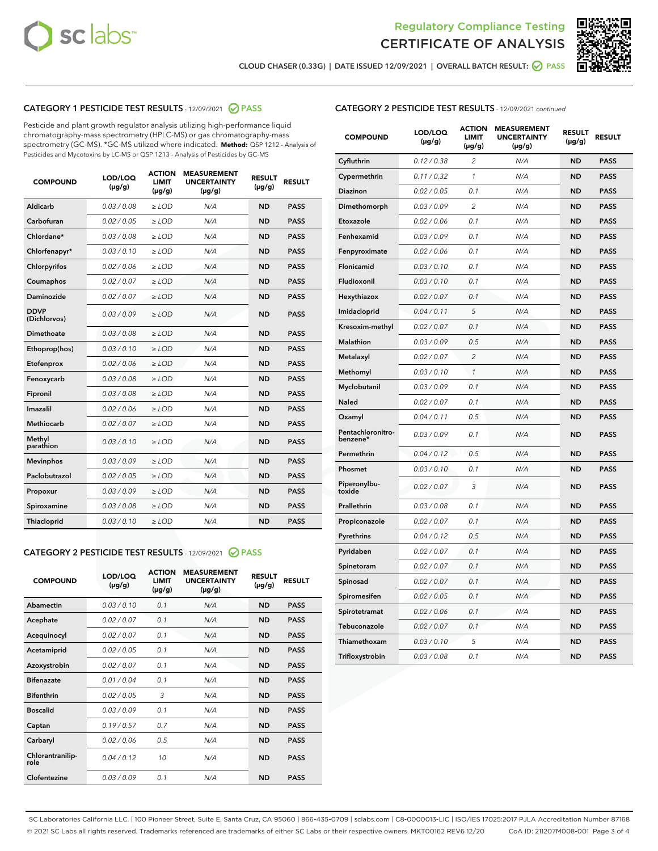



CLOUD CHASER (0.33G) | DATE ISSUED 12/09/2021 | OVERALL BATCH RESULT: @ PASS

# CATEGORY 1 PESTICIDE TEST RESULTS - 12/09/2021 2 PASS

Pesticide and plant growth regulator analysis utilizing high-performance liquid chromatography-mass spectrometry (HPLC-MS) or gas chromatography-mass spectrometry (GC-MS). \*GC-MS utilized where indicated. **Method:** QSP 1212 - Analysis of Pesticides and Mycotoxins by LC-MS or QSP 1213 - Analysis of Pesticides by GC-MS

| Aldicarb<br>0.03 / 0.08<br><b>ND</b><br>$\ge$ LOD<br>N/A<br><b>PASS</b><br>Carbofuran<br>0.02/0.05<br>N/A<br><b>ND</b><br><b>PASS</b><br>$\ge$ LOD<br>Chlordane*<br>0.03 / 0.08<br><b>ND</b><br><b>PASS</b><br>$\ge$ LOD<br>N/A<br>0.03/0.10<br><b>ND</b><br><b>PASS</b><br>Chlorfenapyr*<br>$\ge$ LOD<br>N/A<br>Chlorpyrifos<br>0.02 / 0.06<br>N/A<br><b>ND</b><br><b>PASS</b><br>$\ge$ LOD<br>0.02 / 0.07<br>N/A<br><b>ND</b><br><b>PASS</b><br>Coumaphos<br>$>$ LOD<br><b>ND</b><br><b>PASS</b><br>Daminozide<br>0.02 / 0.07<br>$\ge$ LOD<br>N/A<br><b>DDVP</b><br>0.03/0.09<br>$\ge$ LOD<br>N/A<br><b>ND</b><br><b>PASS</b><br>(Dichlorvos)<br>Dimethoate<br><b>ND</b><br><b>PASS</b><br>0.03/0.08<br>$>$ LOD<br>N/A<br>Ethoprop(hos)<br>0.03/0.10<br>$\ge$ LOD<br>N/A<br><b>ND</b><br><b>PASS</b><br>0.02 / 0.06<br>$\ge$ LOD<br>N/A<br><b>ND</b><br><b>PASS</b><br>Etofenprox<br>Fenoxycarb<br>0.03/0.08<br>$>$ LOD<br>N/A<br><b>ND</b><br><b>PASS</b><br>0.03/0.08<br><b>ND</b><br><b>PASS</b><br>Fipronil<br>$\ge$ LOD<br>N/A<br>Imazalil<br>0.02 / 0.06<br>$>$ LOD<br>N/A<br><b>ND</b><br><b>PASS</b><br>Methiocarb<br>0.02 / 0.07<br>N/A<br><b>ND</b><br><b>PASS</b><br>$\ge$ LOD<br>Methyl<br>0.03/0.10<br>$\ge$ LOD<br>N/A<br><b>ND</b><br><b>PASS</b><br>parathion<br>0.03/0.09<br>$\ge$ LOD<br>N/A<br><b>ND</b><br><b>PASS</b><br><b>Mevinphos</b><br>Paclobutrazol<br>0.02 / 0.05<br>$\ge$ LOD<br>N/A<br><b>ND</b><br><b>PASS</b><br>0.03/0.09<br>N/A<br>$\ge$ LOD<br><b>ND</b><br><b>PASS</b><br>Propoxur<br>0.03/0.08<br><b>ND</b><br><b>PASS</b><br>Spiroxamine<br>$\ge$ LOD<br>N/A<br><b>PASS</b><br>Thiacloprid<br>0.03/0.10<br>$\ge$ LOD<br>N/A<br><b>ND</b> | <b>COMPOUND</b> | LOD/LOQ<br>$(\mu g/g)$ | <b>ACTION</b><br><b>LIMIT</b><br>$(\mu g/g)$ | <b>MEASUREMENT</b><br><b>UNCERTAINTY</b><br>$(\mu g/g)$ | <b>RESULT</b><br>$(\mu g/g)$ | <b>RESULT</b> |
|-----------------------------------------------------------------------------------------------------------------------------------------------------------------------------------------------------------------------------------------------------------------------------------------------------------------------------------------------------------------------------------------------------------------------------------------------------------------------------------------------------------------------------------------------------------------------------------------------------------------------------------------------------------------------------------------------------------------------------------------------------------------------------------------------------------------------------------------------------------------------------------------------------------------------------------------------------------------------------------------------------------------------------------------------------------------------------------------------------------------------------------------------------------------------------------------------------------------------------------------------------------------------------------------------------------------------------------------------------------------------------------------------------------------------------------------------------------------------------------------------------------------------------------------------------------------------------------------------------------------------------------------------------------------------------------|-----------------|------------------------|----------------------------------------------|---------------------------------------------------------|------------------------------|---------------|
|                                                                                                                                                                                                                                                                                                                                                                                                                                                                                                                                                                                                                                                                                                                                                                                                                                                                                                                                                                                                                                                                                                                                                                                                                                                                                                                                                                                                                                                                                                                                                                                                                                                                                   |                 |                        |                                              |                                                         |                              |               |
|                                                                                                                                                                                                                                                                                                                                                                                                                                                                                                                                                                                                                                                                                                                                                                                                                                                                                                                                                                                                                                                                                                                                                                                                                                                                                                                                                                                                                                                                                                                                                                                                                                                                                   |                 |                        |                                              |                                                         |                              |               |
|                                                                                                                                                                                                                                                                                                                                                                                                                                                                                                                                                                                                                                                                                                                                                                                                                                                                                                                                                                                                                                                                                                                                                                                                                                                                                                                                                                                                                                                                                                                                                                                                                                                                                   |                 |                        |                                              |                                                         |                              |               |
|                                                                                                                                                                                                                                                                                                                                                                                                                                                                                                                                                                                                                                                                                                                                                                                                                                                                                                                                                                                                                                                                                                                                                                                                                                                                                                                                                                                                                                                                                                                                                                                                                                                                                   |                 |                        |                                              |                                                         |                              |               |
|                                                                                                                                                                                                                                                                                                                                                                                                                                                                                                                                                                                                                                                                                                                                                                                                                                                                                                                                                                                                                                                                                                                                                                                                                                                                                                                                                                                                                                                                                                                                                                                                                                                                                   |                 |                        |                                              |                                                         |                              |               |
|                                                                                                                                                                                                                                                                                                                                                                                                                                                                                                                                                                                                                                                                                                                                                                                                                                                                                                                                                                                                                                                                                                                                                                                                                                                                                                                                                                                                                                                                                                                                                                                                                                                                                   |                 |                        |                                              |                                                         |                              |               |
|                                                                                                                                                                                                                                                                                                                                                                                                                                                                                                                                                                                                                                                                                                                                                                                                                                                                                                                                                                                                                                                                                                                                                                                                                                                                                                                                                                                                                                                                                                                                                                                                                                                                                   |                 |                        |                                              |                                                         |                              |               |
|                                                                                                                                                                                                                                                                                                                                                                                                                                                                                                                                                                                                                                                                                                                                                                                                                                                                                                                                                                                                                                                                                                                                                                                                                                                                                                                                                                                                                                                                                                                                                                                                                                                                                   |                 |                        |                                              |                                                         |                              |               |
|                                                                                                                                                                                                                                                                                                                                                                                                                                                                                                                                                                                                                                                                                                                                                                                                                                                                                                                                                                                                                                                                                                                                                                                                                                                                                                                                                                                                                                                                                                                                                                                                                                                                                   |                 |                        |                                              |                                                         |                              |               |
|                                                                                                                                                                                                                                                                                                                                                                                                                                                                                                                                                                                                                                                                                                                                                                                                                                                                                                                                                                                                                                                                                                                                                                                                                                                                                                                                                                                                                                                                                                                                                                                                                                                                                   |                 |                        |                                              |                                                         |                              |               |
|                                                                                                                                                                                                                                                                                                                                                                                                                                                                                                                                                                                                                                                                                                                                                                                                                                                                                                                                                                                                                                                                                                                                                                                                                                                                                                                                                                                                                                                                                                                                                                                                                                                                                   |                 |                        |                                              |                                                         |                              |               |
|                                                                                                                                                                                                                                                                                                                                                                                                                                                                                                                                                                                                                                                                                                                                                                                                                                                                                                                                                                                                                                                                                                                                                                                                                                                                                                                                                                                                                                                                                                                                                                                                                                                                                   |                 |                        |                                              |                                                         |                              |               |
|                                                                                                                                                                                                                                                                                                                                                                                                                                                                                                                                                                                                                                                                                                                                                                                                                                                                                                                                                                                                                                                                                                                                                                                                                                                                                                                                                                                                                                                                                                                                                                                                                                                                                   |                 |                        |                                              |                                                         |                              |               |
|                                                                                                                                                                                                                                                                                                                                                                                                                                                                                                                                                                                                                                                                                                                                                                                                                                                                                                                                                                                                                                                                                                                                                                                                                                                                                                                                                                                                                                                                                                                                                                                                                                                                                   |                 |                        |                                              |                                                         |                              |               |
|                                                                                                                                                                                                                                                                                                                                                                                                                                                                                                                                                                                                                                                                                                                                                                                                                                                                                                                                                                                                                                                                                                                                                                                                                                                                                                                                                                                                                                                                                                                                                                                                                                                                                   |                 |                        |                                              |                                                         |                              |               |
|                                                                                                                                                                                                                                                                                                                                                                                                                                                                                                                                                                                                                                                                                                                                                                                                                                                                                                                                                                                                                                                                                                                                                                                                                                                                                                                                                                                                                                                                                                                                                                                                                                                                                   |                 |                        |                                              |                                                         |                              |               |
|                                                                                                                                                                                                                                                                                                                                                                                                                                                                                                                                                                                                                                                                                                                                                                                                                                                                                                                                                                                                                                                                                                                                                                                                                                                                                                                                                                                                                                                                                                                                                                                                                                                                                   |                 |                        |                                              |                                                         |                              |               |
|                                                                                                                                                                                                                                                                                                                                                                                                                                                                                                                                                                                                                                                                                                                                                                                                                                                                                                                                                                                                                                                                                                                                                                                                                                                                                                                                                                                                                                                                                                                                                                                                                                                                                   |                 |                        |                                              |                                                         |                              |               |
|                                                                                                                                                                                                                                                                                                                                                                                                                                                                                                                                                                                                                                                                                                                                                                                                                                                                                                                                                                                                                                                                                                                                                                                                                                                                                                                                                                                                                                                                                                                                                                                                                                                                                   |                 |                        |                                              |                                                         |                              |               |
|                                                                                                                                                                                                                                                                                                                                                                                                                                                                                                                                                                                                                                                                                                                                                                                                                                                                                                                                                                                                                                                                                                                                                                                                                                                                                                                                                                                                                                                                                                                                                                                                                                                                                   |                 |                        |                                              |                                                         |                              |               |
|                                                                                                                                                                                                                                                                                                                                                                                                                                                                                                                                                                                                                                                                                                                                                                                                                                                                                                                                                                                                                                                                                                                                                                                                                                                                                                                                                                                                                                                                                                                                                                                                                                                                                   |                 |                        |                                              |                                                         |                              |               |

# CATEGORY 2 PESTICIDE TEST RESULTS - 12/09/2021 @ PASS

| <b>COMPOUND</b>          | LOD/LOO<br>$(\mu g/g)$ | <b>ACTION</b><br>LIMIT<br>$(\mu g/g)$ | <b>MEASUREMENT</b><br><b>UNCERTAINTY</b><br>$(\mu g/g)$ | <b>RESULT</b><br>$(\mu g/g)$ | <b>RESULT</b> |  |
|--------------------------|------------------------|---------------------------------------|---------------------------------------------------------|------------------------------|---------------|--|
| Abamectin                | 0.03/0.10              | 0.1                                   | N/A                                                     | <b>ND</b>                    | <b>PASS</b>   |  |
| Acephate                 | 0.02/0.07              | 0.1                                   | N/A                                                     | <b>ND</b>                    | <b>PASS</b>   |  |
| Acequinocyl              | 0.02/0.07              | 0.1                                   | N/A                                                     | <b>ND</b>                    | <b>PASS</b>   |  |
| Acetamiprid              | 0.02/0.05              | 0.1                                   | N/A                                                     | <b>ND</b>                    | <b>PASS</b>   |  |
| Azoxystrobin             | 0.02/0.07              | 0.1                                   | N/A                                                     | <b>ND</b>                    | <b>PASS</b>   |  |
| <b>Bifenazate</b>        | 0.01 / 0.04            | 0.1                                   | N/A                                                     | <b>ND</b>                    | <b>PASS</b>   |  |
| <b>Bifenthrin</b>        | 0.02/0.05              | 3                                     | N/A                                                     | <b>ND</b>                    | <b>PASS</b>   |  |
| <b>Boscalid</b>          | 0.03/0.09              | 0.1                                   | N/A                                                     | <b>ND</b>                    | <b>PASS</b>   |  |
| Captan                   | 0.19/0.57              | 0.7                                   | N/A                                                     | <b>ND</b>                    | <b>PASS</b>   |  |
| Carbaryl                 | 0.02/0.06              | 0.5                                   | N/A                                                     | <b>ND</b>                    | <b>PASS</b>   |  |
| Chlorantranilip-<br>role | 0.04/0.12              | 10                                    | N/A                                                     | <b>ND</b>                    | <b>PASS</b>   |  |
| Clofentezine             | 0.03/0.09              | 0.1                                   | N/A                                                     | <b>ND</b>                    | <b>PASS</b>   |  |

| <b>CATEGORY 2 PESTICIDE TEST RESULTS</b> - 12/09/2021 continued |  |  |
|-----------------------------------------------------------------|--|--|
|                                                                 |  |  |

| <b>COMPOUND</b>               | LOD/LOQ<br>(µg/g) | <b>ACTION</b><br>LIMIT<br>(µg/g) | <b>MEASUREMENT</b><br><b>UNCERTAINTY</b><br>(µg/g) | <b>RESULT</b><br>(µg/g) | <b>RESULT</b> |
|-------------------------------|-------------------|----------------------------------|----------------------------------------------------|-------------------------|---------------|
| Cyfluthrin                    | 0.12 / 0.38       | $\overline{c}$                   | N/A                                                | <b>ND</b>               | <b>PASS</b>   |
| Cypermethrin                  | 0.11/0.32         | 1                                | N/A                                                | <b>ND</b>               | <b>PASS</b>   |
| <b>Diazinon</b>               | 0.02 / 0.05       | 0.1                              | N/A                                                | <b>ND</b>               | <b>PASS</b>   |
| Dimethomorph                  | 0.03 / 0.09       | 2                                | N/A                                                | <b>ND</b>               | <b>PASS</b>   |
| Etoxazole                     | 0.02 / 0.06       | 0.1                              | N/A                                                | <b>ND</b>               | <b>PASS</b>   |
| Fenhexamid                    | 0.03 / 0.09       | 0.1                              | N/A                                                | <b>ND</b>               | <b>PASS</b>   |
| Fenpyroximate                 | 0.02 / 0.06       | 0.1                              | N/A                                                | <b>ND</b>               | <b>PASS</b>   |
| Flonicamid                    | 0.03 / 0.10       | 0.1                              | N/A                                                | <b>ND</b>               | <b>PASS</b>   |
| Fludioxonil                   | 0.03/0.10         | 0.1                              | N/A                                                | <b>ND</b>               | <b>PASS</b>   |
| Hexythiazox                   | 0.02 / 0.07       | 0.1                              | N/A                                                | <b>ND</b>               | <b>PASS</b>   |
| Imidacloprid                  | 0.04 / 0.11       | 5                                | N/A                                                | <b>ND</b>               | <b>PASS</b>   |
| Kresoxim-methyl               | 0.02 / 0.07       | 0.1                              | N/A                                                | <b>ND</b>               | <b>PASS</b>   |
| Malathion                     | 0.03 / 0.09       | 0.5                              | N/A                                                | <b>ND</b>               | <b>PASS</b>   |
| Metalaxyl                     | 0.02 / 0.07       | $\overline{c}$                   | N/A                                                | <b>ND</b>               | <b>PASS</b>   |
| Methomyl                      | 0.03 / 0.10       | 1                                | N/A                                                | <b>ND</b>               | <b>PASS</b>   |
| Myclobutanil                  | 0.03/0.09         | 0.1                              | N/A                                                | <b>ND</b>               | <b>PASS</b>   |
| Naled                         | 0.02 / 0.07       | 0.1                              | N/A                                                | <b>ND</b>               | <b>PASS</b>   |
| Oxamyl                        | 0.04 / 0.11       | 0.5                              | N/A                                                | <b>ND</b>               | <b>PASS</b>   |
| Pentachloronitro-<br>benzene* | 0.03/0.09         | 0.1                              | N/A                                                | <b>ND</b>               | <b>PASS</b>   |
| Permethrin                    | 0.04 / 0.12       | 0.5                              | N/A                                                | <b>ND</b>               | <b>PASS</b>   |
| Phosmet                       | 0.03 / 0.10       | 0.1                              | N/A                                                | <b>ND</b>               | <b>PASS</b>   |
| Piperonylbu-<br>toxide        | 0.02 / 0.07       | 3                                | N/A                                                | <b>ND</b>               | <b>PASS</b>   |
| Prallethrin                   | 0.03 / 0.08       | 0.1                              | N/A                                                | <b>ND</b>               | <b>PASS</b>   |
| Propiconazole                 | 0.02 / 0.07       | 0.1                              | N/A                                                | <b>ND</b>               | <b>PASS</b>   |
| Pyrethrins                    | 0.04 / 0.12       | 0.5                              | N/A                                                | <b>ND</b>               | <b>PASS</b>   |
| Pyridaben                     | 0.02 / 0.07       | 0.1                              | N/A                                                | <b>ND</b>               | <b>PASS</b>   |
| Spinetoram                    | 0.02 / 0.07       | 0.1                              | N/A                                                | <b>ND</b>               | <b>PASS</b>   |
| Spinosad                      | 0.02 / 0.07       | 0.1                              | N/A                                                | <b>ND</b>               | <b>PASS</b>   |
| Spiromesifen                  | 0.02 / 0.05       | 0.1                              | N/A                                                | <b>ND</b>               | <b>PASS</b>   |
| Spirotetramat                 | 0.02 / 0.06       | 0.1                              | N/A                                                | <b>ND</b>               | <b>PASS</b>   |
| Tebuconazole                  | 0.02 / 0.07       | 0.1                              | N/A                                                | <b>ND</b>               | <b>PASS</b>   |
| Thiamethoxam                  | 0.03 / 0.10       | 5                                | N/A                                                | <b>ND</b>               | <b>PASS</b>   |
| Trifloxystrobin               | 0.03 / 0.08       | 0.1                              | N/A                                                | <b>ND</b>               | <b>PASS</b>   |

SC Laboratories California LLC. | 100 Pioneer Street, Suite E, Santa Cruz, CA 95060 | 866-435-0709 | sclabs.com | C8-0000013-LIC | ISO/IES 17025:2017 PJLA Accreditation Number 87168 © 2021 SC Labs all rights reserved. Trademarks referenced are trademarks of either SC Labs or their respective owners. MKT00162 REV6 12/20 CoA ID: 211207M008-001 Page 3 of 4